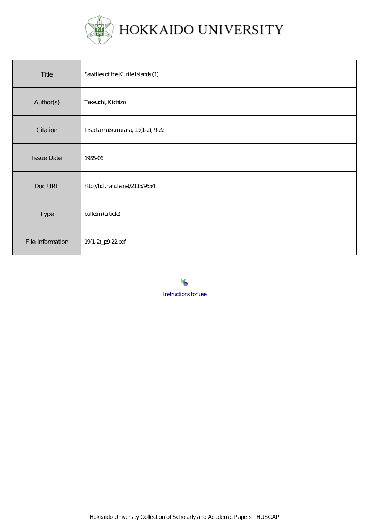

| Title             | Sawflies of the Kurile Islands (1) |
|-------------------|------------------------------------|
| Author(s)         | Takeuchi, Kichizo                  |
| Citation          | Insecta matsumurana, 19(1-2), 9-22 |
| <b>Issue Date</b> | 195506                             |
| Doc URL           | http://hdl.handle.net/2115/9554    |
| Type              | bulletin (article)                 |
| File Information  | 19(1-2)_p9-22.pdf                  |

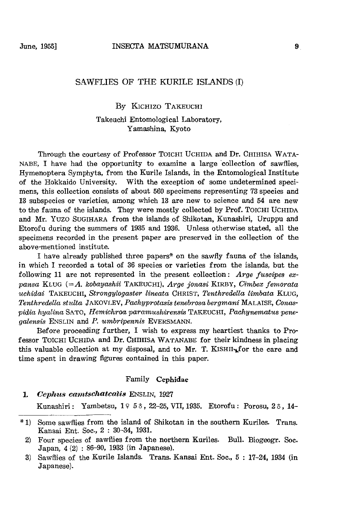## SAWFLIES OF THE KURILE ISLANDS (I)

## By KICHIZO TAKEUCHI

## Takeuchi Entomological Laboratory, Yamashina, Kyoto

Through the courtesy of Professor TOlCHI UCHIDA and Dr. CHIHISA WATA-NABE, I have had the opportunity to examine a large 'collection of sawflies, Hymenoptera Symphyta, from the Kurile Islands, in the Entomological Institute of the Hokkaido University. With the exception of some undetermined specimens, this collection consists of about 560 specimens representing 73 species and 13 subspecies or varieties, among which 13 are new to science and 54 are new to the fauna of the islands. They were mostly collected by Prof. TOICHI UCHIDA and Mr. Yuzo SUGIHARA from the islands of Shikotan, Kunashiri, Uruppu and Etorofu during the summers of 1935 and 1936. Unless otherwise stated, all the specimens recorded in the present paper are preserved in the collection of the above-mentioned institute.

I have already published three papers\* on the sawfly fauna of the islands, in which I recorded a total of 36 species or varieties from the islands, but the following 11 are not represented in the present collection: *Arge fuscipes expansa* KLUG *(=A. kobayashii* TAKEUCHI). *Arge jonasi* KIRBY, *C1'mbex femorata uchidai* TAKEUCHI, *Strongylogaster lineata* CHRIST, *Tenthredella limbata* KLUG, *Tenthredella stulta* JAKOVLEV, *Pachyprotasis tenebrosa bergmani* MALAISE, *Conaspidia hyalina* SATO, *Hemichroa paramushirensis* TAKEUCHI, *Pachynematus penegalensis* ENSLIN and *P. umbripennis* EVERSMANN.

Before proceeding further, I wish to express my heartiest thanks to Professor TOlCHI UCHIDA and Dr. CHIHISA WATANABE for their kindness in placing this valuable collection at my disposal, and to Mr. T. KISHII $_{\text{L}}$  for the care and time spent in drawing figures contained in this paper.

## Family Cephidae

*1. Cephus camtschatcatis* ENSLIN, 1927

Kunashiri: Yambetsu, 19 58, 22-25, VII, 1935. Etorofu: Porosu, 28, 14-

<sup>\* 1)</sup> Some sawflies from the island of Shikotan in the southern Kuriles. Trans. Kansai Ent. Soc., 2 : 30-34, 1931.

<sup>2)</sup> Four species of sawflies from the northern Kuriles. Bull. Biogeogr. Soc. Japan, 4 (2) : 86-90, 1933 (in Japanese).

<sup>3)</sup> Sawflies of the Kurile Islands. Trans. Kansai Ent. Soc., 5 : 17-24, 1934 (in Japanese).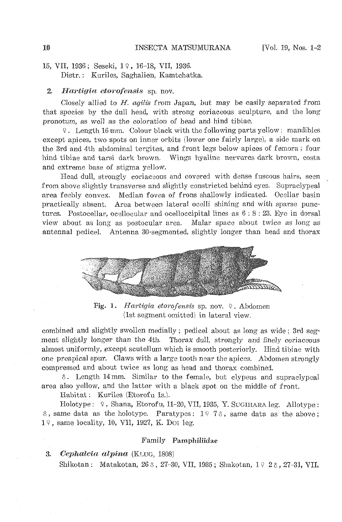# 15, VII, 1936; Seseki, 19, 16-18, VII, 1936. Distr.: Kuriles, Saghalien, Kamtchatka.

## 2. *Hartigia etorofensis* sp. nov.

Closely allied to *H. agilis* from Japan, but may be easily separated from that species by the dull head, with strong coriaceous sculpture, and the long pronotum, as well as the coloration of head and hind tibiae.

<;!. Length 16 mm. Colour black with the following parts yellow: mandibles except apices, two spots on inner orbits (lower one fairly large), a side mark on the 3rd and 4th abdominal tergites, and front legs below apices of femora; four hind tibiae and tarsi dark brown. Wings hyaline. nervures dark brown, costa and extreme base of stigma yellow.

Head dull, strongly coriaceous and covered with dense fuscous hairs, seen from above slightly transverse and slightly constricted behind eyes. Supraclypeal area feebly convex. Median fovea of frons shallowly indicated. Ocellar basin practically absent. Area between lateral ocelli shining and with sparse punctures. Postocellar, ocellocular and ocelloccipital lines as 6 : 8 : 23. Eye in dorsal view about as long as postocular area. Malar space about twice as long as antennal pedicel. Antenna 30-segmented, slightly longer than head and thorax



Fig. 1. *Hartigia etorofensis* sp. nov. 9. Abdomen (1st segment omitted) in lateral view.

combined and slightly swollen medially; pedicel about as long as wide; 3rd segment slightly longer than the 4th. Thorax dull, strongly and finely coriaceous almost uniformly, except scutellum which is smooth posteriorly. Hind tibiae with one preapical spur. Claws with a large tooth near the apices. Abdomen strongly compressed and about twice as long as head and thorax combinel.

 $\delta$ . Length 14 mm. Similar to the female, but clypeus and supraclypeal area also yellow, and the latter with a black spot on the middle of front.

Habitat: Kuriles (Etorofu Is.).

Holotype:  $9$ , Shana, Etorofu, 11-20, VII, 1935, Y. SUGIHARA leg. Allotype:  $\delta$ , same data as the holotype. Paratypes: 1973, same data as the above;  $1$ <sup>2</sup>, same locality, 10, VII, 1927, K. Dol leg.

### Family Pamphiliidae

*3. Ocphalc'ia alp'ina* (Kl.uG, 1808)

Shikotan: Matakotan, 26 $\delta$ , 27-30, VII, 1935; Shakotan, 1  $\frac{1}{2}\delta$ , 27-31, VII,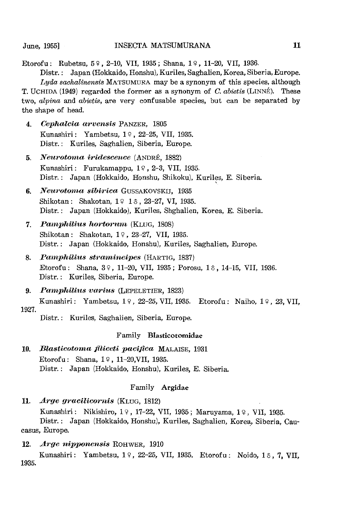Etorofu: Rubetsu,  $5$  ?, 2-10, VII, 1935; Shana, 1 $\frac{9}{11}$ , 11-20, VII, 1936.

Distr.: Japan (Hokkaido, Honshu), Kuriles, Saghalien, Korea, Siberia, Europe. *Lyda sachalinensis* MATSUMURA may be a synonym of this species, although T. UCHIDA (1949) regarded the former as a synonym of C. *abietis* (LINNE). These two, *alpina* and *abietis,* are very confusable species, but can be separated by the shape of head.

- *4. CephalC'la m'vensis* PANZER, 1805 Kunashiri: Yambetsu, 19, 22-25, VII, 1935. Distr.: Kuriles, Saghalien, Siberia, Europe.
- 5. Neurotoma iridescence *(ANDRÉ, 1882)* Kunashiri: Furukamappu, 19, 2-3, VII, 1935. Distr.: Japan (Hokkaido, Honshu, Shikoku), Kuriles, E. Siberia.
- **6.** Neurotoma sibirica GUSSAKOVSKIJ, 1935 Shikotan: Shakotan,  $1 \nsubseteq 1 \nsubseteq$ , 23-27, VI, 1935. Distr.: Japan (Hokkaido), Kuriles, Shghalien, Korea, E. Siberia.
- *7. PamphiUus hortorurn* (KLUG, 1808) Shikotan: Shakotan, 19, 23-27, VII, 1935. Distr.: Japan (Hokkaido, Honshu), Kuriles, Saghalien, Europe.
- 8. Pamphilius stramineipes *(HARTIG, 1837)* Etorofu: Shana, 39, 11-20, VII, 1935; Porosu, 16, 14-15, VII, 1936. Distr.: Kuriles, Siberia, Europe.
- **9.** Pamphilius varius *(LEPELETIER, 1823)* Kunashiri: Yambetsu, 19, 22-25, VII, 1935. Etorofu: Naiho, 19, 23, VII,

1927.

Distr.: Kuriles, Saghalien, Siberia, Europe.

## Family Blasticotomidae

10. *Blasticotoma filiceti pacifica* MALAISE, 1931 Etorofu: Shana, 19, 11-20, VII, 1935. Distr.: Japan (Hokkaido, Honshu), Kuriles, E. Siberia.

## Family Argidae

**11.** *Arge gracilicornis (KLUG, 1812)* 

Kunashiri: Nikishiro, 19, 17-22, VII, 1935; Maruyama, 19, VII, 1935. Distr.: Japan (Hokkaido, Honshu), Kuriles, Saghalien, Korea, Siberia, Caucasus, Europe.

*12. A1'ge nipponensis* ROHWER, 1910

Kunashiri: Yambetsu, 19, 22-25, VII, 1935. Etorofu: Noido, 16, 7, VII, 1935.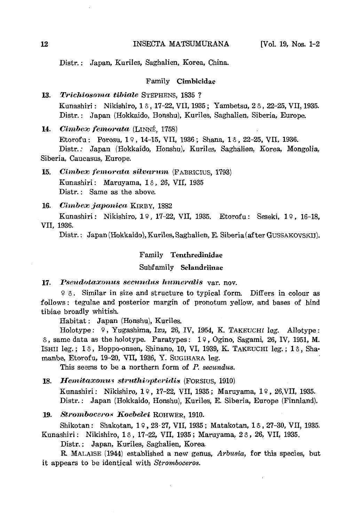Distr.: Japan, Kuriles, Saghalien, Korea, China.

## Family Cimbicidae

*13. Trichiosoma tibiale* STEPHENS, 1835 ? Kunashiri: Nikishiro, 18, 17-22, VII, 1935; Yambetsu, 28, 22-25, VII, 1935. Distr.: Japan (Hokkaido, Honshu), Kuriles, Saghalien, Siberia, Europe.

14. *Cimbex femorata* (LINNÉ, 1758) Etorofu: Porosu, 19, 14-15, VII, 1936; Shana, 18, 22-25, VII, 1936. Distr.: Japan (Hokkaido, Honshu), Kuriles, Saghalien, Korea, Mongolia, Siberia, Caucasus, Europe.

15. Cimbex femorata silvarum *(FABRICIUS, 1793)* Kunashiri: Maruyama, 18, 26, VII, 1935 Distr.: Same as the above.

### *16. Cimbex japonica* KIRBY, 1882

Kunashiri: Nikishiro, 19, 17-22, VII, 1935. Etorofu: Seseki, 19, 16-18, VII, 1936.

Distr.: Japan (Hokkaido), Kuriles, Saghalien, E. Siberia (after GUSSAKOVSKU).

#### Family Tenthredinidae

# Subfamily Selandriinae

#### 17. Pseudotaxonus secundus humeralis var. nov.

9  $\delta$ . Similar in size and structure to typical form. Differs in colour as follows: tegulae and posterior margin of pronotum yellow, and bases of hind tibiae broadly whitish.

Habitat: Japan (Honshu), Kuriles.

Holotype: 9, Yugashima, Izu, 26, IV, 1954, K. TAKEUCHI leg. Allotype: 0, same data as the holotype. Paratypes: 19, Ogino, Sagami, 26, IV, 1951, M. ISHII leg.; 13, Hoppo-onsen, Shinano, 10, VI, 1939, K. TAKEUCHI leg.; 13, Shamanbe, Etorofu, 19-20, VII, 1936, Y. SUGIHARA leg.

This seems to be a northern form of *P. secundus.* 

**18. Hemitaxonus struthis pteridis (FORSIUS, 1910)** 

Kunashiri: Nikishiro, 19, 17-22, VII, 1935; Maruyama, 19, 26,VII, 1935. Distr.; Japan (Hokkaido, Honshu), Kuriles, E. Siberia, Europe (Finnland).

19. Stromboceros Koebelei ROHWER, 1910.

Shikotan: Shakotan, 19, 23-27, VII, 1935; Matakotan, 18, 27-30, VII, 1935. Kunashiri: Nikishiro, 18, 17-22, VII, 1935; Maruyama, 28, 26, VII, 1935.

Distr.: Japan, Kuriles, Saghalien, Korea,

R. MALAISE (1944) established a new genus, *Arbusia,* for this species, but it appears to be identical with *Stromboceros.*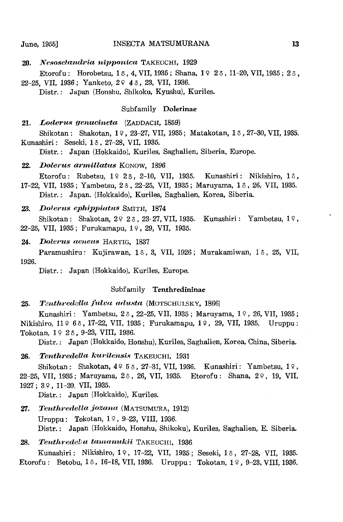#### June, 1955] **INSECTA MATSUMURANA** 13

20. Nesoselandria nipponica TAKEUCHI, 1929 Etorofu; Horobetsu, 1 $\delta$ , 4, VII, 1935; Shana, 1 $\Omega$  2 $\delta$ , 11-20, VII, 1935; 2 $\delta$ , 22-25, VII, 1936; Yanketo, 2º 43, 23, VII, 1936.

Distr.; Japan (Honshu, Shikoku, Kyushu), Kuriles.

## Subfamily Dolerinae

## 21. Loderus genucincta (ZADDACH, 1859)

Shikotan: Shakotan, 19, 23-27, VII, 1935; Matakotan, 18, 27-30, VII, 1935. Kunashiri: Seseki, 13, 27-28, VII, 1935.

Distr.; Japan (Hokkaido), Kuriles, Saghalien, Siberia, Europe.

#### *22. Dolcrus armillatus* KONOW, 1896

Etorofu: Rubetsu, 19 23, 2-10, VII, 1935. Kunashiri: Nikishiro, 13, 17-22, VII, 1935; Yambetsu, 26, 22-25, VII, 1935; Maruyama, 16, 26, VII, 1935. Distr.; Japan. (Hokkaido), Kuriles, Saghalien, Korea, Siberia.

#### *23. Do/crus eph'ipP'iatus* SMITH, 1874

Shikotan: Shakotan,  $2923$ ,  $23-27$ , VII, 1935. Kunashiri: Yambetsu,  $19$ , 22-25, VII, 1935; Furukamapu, 19, 29, VII, 1935.

#### 24. *Dolerus aeneus* HARTIG, 1837

Paramushiru: Kujirawan, 16, 3, VII, 1926; Murakamiwan, 16, 25, VII, 1926.

Distr.; Japan (Hokkaido), Kuriles, Europe.

### Subfamily Tenthredininae

25. Tenthredella fulva adusta (MOTSCHULSKY, 1866)

Kunashiri: Yambetsu, 26, 22-25, VII, 1935; Maruyama, 19, 26, VII, 1935; Nikishiro, 11 º 63, 17-22, VII, 1935; Furukamapu, 1 º, 29, VII, 1935. Uruppu: Tokotan, 19 23, 9-23, VIII, 1936.

Distr.; Japan (Hokkaido, Honshu), Kuriles, Saghalien, Korea, China, Siberia.

## 26. Tenthredella kurilensis TAKEUCHI, 1931

Shikotan: Shakotan,  $4953$ , 27-31, VII, 1936. Kunashiri: Yambetsu,  $19$ , 22-25, VII, 1935; Maruyama, 26, 26, VII, 1935. Etorofu: Shana, 29, 19, VII, 1927; 3 Q , 11-20. VII, 1935.

Distr.; Japan (Hokkaido), Kuriles.

27. Tenthredella jozana (MATSUMURA, 1912) Uruppu: Tokotan,  $1 \div 9 - 23$ , VIII, 1936. Distr.; Japan (Hokkaido, Honshu, Shikoku), Kuriles, Saghalien, E. Siberia.

28. *Tenthredel:a tamanukii* TAKEUCHI, 1936

Kunashiri: Nikishiro, 19, 17-22, VII, 1935; Seseki, 16, 27-28, VII, 1935. Etorofu: Betobu, 13, 16-18, VII, 1936. Uruppu: Tokotan, 1 $9$ , 9-23, VIII, 1936.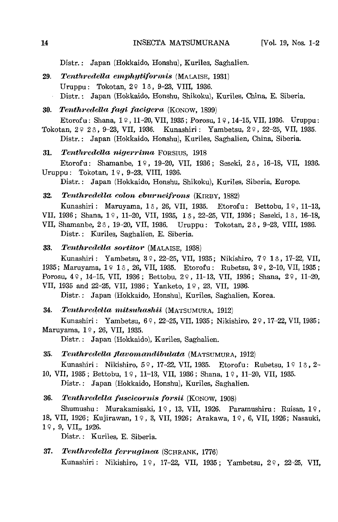Distr.: Japan (Hokkaido, Honshu), Kuriles, Saghalien.

29. Tenthredella emphytiformis (MALAISE, 1931) Uruppu: Tokotan, 29 13, 9-23, VIII, 1936. Distr.: Japan (Hokkaido, Honshu, Shikoku), Kuriles, China, E. Siberia.

#### **30. Tenthredella fagi facigera (KONOW, 1899)**

Etorofu: Shana,  $1 \, \frac{9}{11} - \frac{20}{111}$ , 1935; Porosu,  $1 \, \frac{9}{11}$ , 14-15, VII, 1936. Uruppu: Tokotan, 2º 23, 9-23, VII, 1936. Kunashiri: Yambetsu, 2º, 22-25, VII, 1935. Distr.: Japan (Hokkaido, Honshu), Kuriles, Saghalien, China, Siberia.

#### **31.** Tenthredella nigerrima FORSIUS, 1918

Etorofu: Shamanbe, 19, 19-20, VII, 1936; Seseki, 26, 16-18, VII, 1936. Uruppu: Tokotan, 1º, 9-23, VIII, 1936.

Distr.: Japan (Hokkaido, Honshu, Shikoku), Kuriles, Siberia, Europe.

32. Tenthredella colon eburneifrons *(KIRBY, 1882)* 

Kunashiri: Maruyama, 13, 26, VII, 1935. Etorofu: Bettobu, 19, 11-13,

- VII, 1936; Shana, 19, 11-20, VII, 1935, 13, 22-25, VII, 1936; Seseki, 13, 16-18,
- VII, Shamanbe, 23, 19-20, VII, 1936. Uruppu: Tokotan, 23, 9-23, VIII, 1936. Distr.: Kuriles, Saghalien, E. Siberia.

#### 33. Tenthredella sortitor (MALAISE, 1938)

Kunashiri: Yambetsu, 39, 22-25, VII, 1935; Nikishiro, 79 13, 17-22, VII, 1935; Maruyama, 19 13, 26, VII, 1935. Etorofu: Rubetsu, 39, 2-10, VII, 1935; Porosu, 49, 14-15, VII, 1936; Bettobu, 29, 11-13, VII, 1936; Shana, 29, 11-20, VII, 1935 and 22-25, VII, 1936; Yanketo, 19, 23, VII, 1936.

Distr.: Japan (Hokkaido, Honshu), Kuriles, Saghalien, Korea.

#### 34. Tenthredella mitsuhashii (MATSUMURA, 1912)

Kunashiri: Yambetsu, 69, 22-25, VII, 1935; Nikishiro, 29, 17-22, VII, 1935; Maruyama, 1º, 26, VII, 1935.

Distr.: Japan (Hokkaido), Kuriles, Saghalien.

#### 35. Tenthredella flavomandibulata (MATSUMURA, 1912)

Kunashiri: Nikishiro, 59, 17-22, VII, 1935. Etorofu: Rubetsu, 1913, 2-

10, VII, 1935; Bettobu, 19, 11-13, VII, 1936; Shana, 19, 11-20, VII, 1935. Distr.: Japan (Hokkaido, Honshu), Kuriles, Saghalien.

36. Tenthredella fuscicornis forsii *(KONOW, 1908)* 

Shumushu: Murakamisaki, 19, 13, VII, 1926. Paramushiru: Ruisan, 19,

18, VII, 1926; Kujirawan, 19, 3, VII, 1926; Arakawa, 19, 6, VII, 1926; Nasauki,  $19, 9, VII, 1926.$ 

Distr.: Kuriles, E. Siberia.

# 37. Tenthredella ferruginea (SCHRANK, 1776)

Kunashiri: Nikishiro, 19, 17-22, VII, 1935; Yambetsu, 29, 22-25, VII,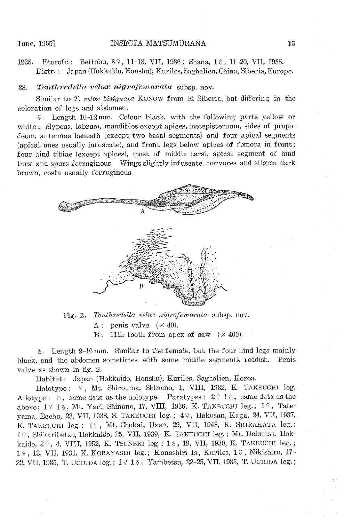1935. Etorofu: Bettobu, 3º, 11-13, VII, 1936; Shana, 1 &, 11-20, VII, 1935. Distr.: Japan (Hokkaido, Honshu), Kuriles, Saghalien, China, Siberia, Europe.

#### **38.** Tenthredella velox nigrofemorata subsp. nov.

Similar to *T. velox bisignata* KONOW from E. Siberia, but differing in the coloration of legs and abdomen.

'f. Length 10-12 mm. Colour black, with the following parts yellow or white: clypeus, labrum, mandibles except apices, metepisternum, sides of propodeum, antennae beneath (except two basal segments) and four apical segments (apical ones usually infuscate), and front legs below apices of femora in front; four hind tibiae (except apices), most of middle tarsi, apical segment of hind tarsi and spurs ferruginous. Wings slightly infuscate, nervures and stigma dark brown, costa usually ferruginous.



Fig. 2. *Tenthredella velox nigrofemorata* subsp. nov. A: penis valve  $(\times 40)$ . B: 11th tooth from apex of saw  $(\times 400)$ .

 $\delta$ . Length 9-10 mm. Similar to the female, but the four hind legs mainly black, and the abdomen sometimes with some middle segments reddish. Penis valve as shown in fig. 2.

Habitat: Japan (Hokkaido, Honshu), Kuriles, Saghalien, Korea.

Holotype:  $\varphi$ , Mt. Shirouma, Shinano, 1, VIII, 1932, K. TAKEUCHI leg. Allotype:  $\delta$ , same data as the holotype. Paratypes:  $2 \nmid 1 \delta$ , same data as the above;  $1 \nsubseteq 16$ , Mt. Yari, Shinano, 17, VIII, 1936, K. TAKEUCHI leg.;  $1 \nsubseteq$ , Tatevama, Ecchu, 23, VII, 1938, S. TAKEUCHI leg.; 4º, Hakusan, Kaga, 24, VII, 1937, K. TAKEUCHI leg.; 1º, Mt. Chokai, Uzen, 29, VII, 1948, K. SHIRAHATA leg.; I'?, Shikaribetsu, Hokkaido, 25, VII, 1939, K. TAKEUCHI leg.; Mt. Daisetsu, Hokkaido, 2º, 4, VIII, 1952, K. TSUNEKI leg.; 1 8, 19, VII, 1930, K. TAKEUCHI leg.; I'?, 13, VII, 1931, K. KOBAYASHI leg.; Kunashiri Is, Kuriles, I'?, Nikishiro, 17-- 22, VII, 1935, T. UCHIDA leg.; 1916, Yambetsu, 22-25, VII, 1935, T. UCHIDA leg.;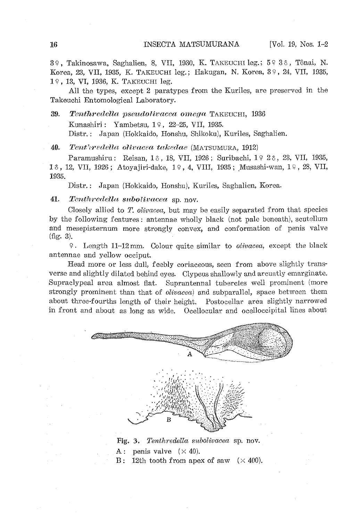39, Takinosawa, Saghalien, 8, VII, 1930, K. TAKEUCHI leg.; 59 38, Tônai, N. Korea, 23, VII, 1935, K. TAKEUCHI leg.; Hakugan, N. Korea, 39, 24, VII, 1935, 19, 13, VI, 1936, K. TAKEUCHI leg.

All the types, except 2 paratypes from the Kuriles, are preserved in the Takeuchi Entomological Laboratory.

39. Tenthredella pseudolivacea omega TAKEUCHI, 1936

Kunashiri: Yambetsu, 19, 22-25, VII, 1935.

Distr.: Japan (Hokkaido, Honshu, Shikoku), Kuriles, Saghalien.

 $40.$  Tent'iredella olivacea takedae (MATSUMURA, 1912)

Paramushiru: Reisan, 13, 18, VII, 1926; Suribachi, 19 23, 23, VII, 1935, 18, 12, VII, 1926; Atoyajiri-dake, 19, 4, VIII, 1935; Musashi-wan, 19, 28, VII, 1935.

Distr.: Japan (Hokkaido, Honshu), Kuriles, Saghalien, Korea.

41. Tenthredella subolivacea sp. nov.

Closely allied to *T. olivacea,* but may be easily separated from that species by the following features: antennae wholly black (not pale beneath), scutellum and mesepisternum more strongly convex, and conformation of penis valve (fig. 3).

\1. Length 11-12 mm. Colour quite similar to *olivacea,* except the black antennae and yellow occiput.

Head more or less dull, feebly coriaceous, seen from above slightly transverse and slightly dilated behind eyes. Clypeus shallowly and arcuatly emarginate. Supraclypeal area almost flat. Suprantennal tubercles well prominent (more strongly prominent than that of *olivacea)* and subparallel, space between them about three-fourths length of their height. Postocellar area slightly narrowed in front and about as long as wide. Ocellocular and ocelloccipital lines about



Fig. 3. *Tenthredella subolivacea* sp. nov.

A: penis valve  $(\times 40)$ .

B: 12th tooth from apex of saw  $(\times 400)$ .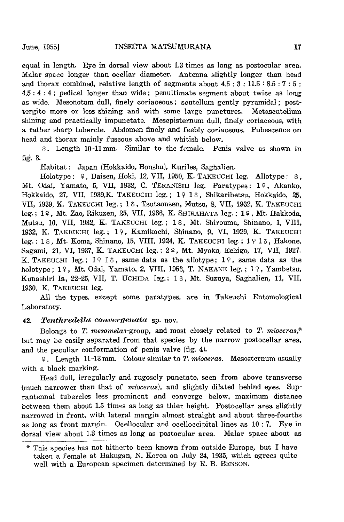equal in length. Eye in dorsal view about 1.3 times as long as postocular area. Malar space longer than ocellar diameter. Antenna slightly longer than head and thorax combined, relative length of segments about  $4.5:3:11.5:8.5:7:5:$ 4.5 : 4 : 4; pedicel longer than wide; penultimate segment about twice as long as wide. Mesonotum dull, finely coriaceous; scutellum gently pyramidal; posttergite more or less shining and with some large punctures. Metascutellum shining and practically impunctate. Mesepisternum dull, finely coriaceous, with a rather sharp tubercle. Abdomen finely and feebly coriaceous. Pubescence on head and thorax mainly fuscous above and whitish below.

o. Length 10-11 mm. Similar to the female. Penis valve as shown in fig. 3.

Habitat: Japan (Hokkaido, Honshu), Kuriles, Saghalien.

Holotype:  $9$ , Daisen, Hoki, 12, VII, 1950, K. TAKEUCHI leg. Allotype:  $\delta$ , Mt. Odai, Yamato, 5, VII, 1932, C. TERANISHI leg. Paratypes: 19, Akanko, Hokkaido, 27, VII, 1939, K. TAKEUCHI leg.; 1916, Shikaribetsu, Hokkaido, 25, VII, 1939, K. TAKEUCHI leg.; 16, Tsutaonsen, Mutsu, 8, VII, 1932, K. TAKEUCHI leg.; 19, Mt. Zao, Rikuzen, 25, VII, 1936, K. SHIRAHATA leg.; 19, Mt. Hakkoda, Mutsu, 10, VII, 1932, K. TAKEUCHI leg.; 1  $\delta$ , Mt. Shirouma, Shinano, 1, VIII, 1932, K. TAKEUCHI leg.; 19, Kamikochi, Shinano, 9, VI, 1929, K. TAKEUCHI leg.; 13, Mt. Koma, Shinano, 15, VIII, 1924, K. TAKEUCHI leg.; 1913, Hakone, Sagami, 21, VI, 1937, K. TAKEUCHI leg.; 29, Mt. Myoko, Echigo, 17, VII, 1927. K. TAKEUCHI leg.;  $1 \nless 1 \nless 1$ , same data as the allotype;  $1 \nless 1$ , same data as the holotype;  $19$ , Mt. Odai, Yamato, 2, VIII, 1953, T. NAKANE leg.;  $19$ , Yambetsu, Kunashiri Is., 22-25, VII, T. UCHIDA leg.; 1 8, Mt. Suzuya, Saghalien, 11, VII, 1930, K. TAKEUCHI leg.

All the types, except some paratypes, are in Takeuchi Entomological Laboratory.

#### *42. Tcntlwc(Zclla convel'gcnata* sp. nov.

Belongs to *T. rnesomelas-group,* and most closely related to *T. mioceras,\**  but may be easily separated from that species by the narrow postocellar area, and the peculiar conformation of penis valve (fig. 4).

~. Length 11-13 mm. Colour similar to *T. mioceras.* Mesosternum usually with a black marking.

Head dull, irregularly and rugosely punctate, seen from above transverse (much narrower than that of *mioceras),* and slightly dilated behind eyes. Suprantennal tubercles less prominent and converge below. maximum distance between them about 1.5 times as long as thier height. Postocellar area slightly narrowed in front, with lateral margin almost straight and about three-fourths as long as front margin. Ocellocular and ocelloccipital lines as 10: 7. Eye in dorsal view about 1.3 times as long as postocular area. Malar space about as

<sup>\*</sup> This species has not hitherto been known from outside Europe, but I have taken a female at Bakugan, N. Korea on July 24, 1935, which agrees quite well with a European specimen determined by R. B. BENSON.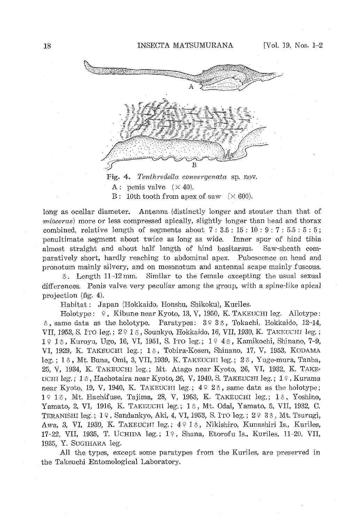

Fig. 4. *Tenthredella convergenata* sp. nov. A: penis valve  $(\times 40)$ . B: 10th tooth from apex of saw  $(\times 600)$ .

long as ocellar diameter. Antenna (distinctly longer and stouter than that of *1'nioceras)* more or less compressed apically, slightly longer than head and thorax combined, relative length of segments about  $7: 3.5: 15: 10: 9: 7: 5.5: 5: 5$ ; penultimate segment about twice as long as wide. Inner spur of hind tibia almost straight and about half length of hind basitarsus. Saw-sheath comparatively short, hardly reaching to abdominal apex. Pubescenee on head and pronotum mainly silvery, and on mesonotum and antennal scape mainly fuscous.

 $\delta$ . Length 11-12 mm. Similar to the female excepting the usual sexual differences. Penis valve very peculiar among the group, with a spine-like apical projection (fig. 4).

Habitat: Japan (Hokkaido, Honshu. Shikoku), Kuriles.

Holotype:  $\varphi$ , Kibune near Kyoto, 13, V, 1950, K. TAKEUCHI leg. Allotype:  $\delta$ , same data as the holotype. Paratypes:  $3 \div 3 \hat{\diamond}$ , Tokachi, Hokkaido, 12-14, VII, 1953, S. ITO leg.; 2 9 1 6, Sounkyo, Hokkaido, 16, VII, 1930, K. TAKEUCHI leg.; 1918, Kuroyu, Ugo, 16, VI, 1951, S. ITO leg.; 1948, Kamikochi, Shinano, 7-9, VI, 1929, K. TAKEUCHI leg.; 16, Tobira-Kosen, Shinano, 17, V, 1953, KODAMA leg.; 1 $\delta$ , Mt. Buna, Omi, 3, VII, 1939, K. TAKEUCHI leg.;  $2\delta$ , Yuge-mura, Tanba, 25, V, 1934, K. TAKEUCHI leg.; Mt. Atago near Kyoto, 26, VI, 1932, K. TAKE-UCHI leg.; 13, Hachotaira near Kyoto, 26, V, 1940, S. TAKEUCHI leg.;  $1\frac{9}{1}$ , Kurama near Kyoto, 19, V, 1940, K. TAKEUCHI leg.;  $4 \nvert 4 \nvert 2 \nvert 3$ , same data as the holotype; 19 18, Mt. Hachifuse, Tajima, 28, V, 1953, K. TAKEUCHI leg.; 18, Yoshino, Yamato, 2, VI, 1916, K. TAKEUCHI leg.; 10, Mt. Odai, Yamato, 5, VII, 1932, C. TERANISHI leg.;  $1\frac{9}{7}$ , Sandankyo, Aki, 4, VI, 1953, S. ITO leg.;  $2\frac{9}{7}$  3 $\frac{3}{6}$ , Mt. Tsurugi, Awa, 3, VI, 1930, K. TAKEUCHI leg.;  $4 \nmid 16$ , Nikishiro, Kunashiri Is., Kuriles, 17-22, VII, 1935, T. UCHIDA leg.; 19, Shana, Etorofu Is., Kuriles, 11-20, VII, 1935, Y. SUGIHARA leg.

All the types, except some paratypes from the Kuriles, are preserved in the Takeuchi Entomological Laboratory.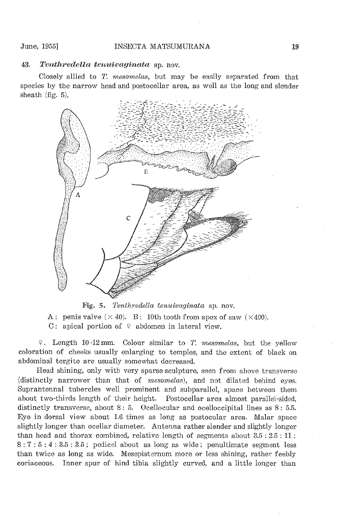## 43. Tenthredella tenuivaginata sp. nov.

Closely allied to *T. mesomelas,* but may be easily separated from that species by the narrow head and postocellar area, as well as the long and slender sheath (fig. 5).



Fig. 5. *Tenthredella tenuivaginata* sp. nov.

A: penis valve  $(\times 40)$ . B: 10th tooth from apex of saw  $(\times 400)$ . C: apical portion of 9 abdomen in lateral view.

9. Length 10-12 mm. Colour similar to *T. mesomelas,* but the yellow coloration of cheeks usually enlarging to temples, and the extent of black on abdominal tergite are usually somewhat decreased.

Head shining, only witb very sparse sculpture, seen from above transverse (distinctly narrower than that of *mesomelas),* and not dilated behind eyes. Suprantennal tubercles well prominent and subparallel, space between them about two-thirds length of their height. Postocellar area almost parallel-sided, distinctly transverse, about 8: 5. Ocellocular and ocelloccipital lines as 8: 5.5. Eye in dorsal view about 1.6 times as long as postocular area. Malar space slightly longer than ocellar diameter. Antenna rather slender and slightly longer than head and thorax combined, relative length of segments about 3.5: 2.5 : 11 : 8 ; 7 : 5 : 4 ; 3.5 ; 3.5; pedicel about as long as wide; penultimate segment less than twice as long as wide. Mesepisternum more or less shining, rather feebly coriaceous. Inner spur of hind tibia slightly curved, and a little longer than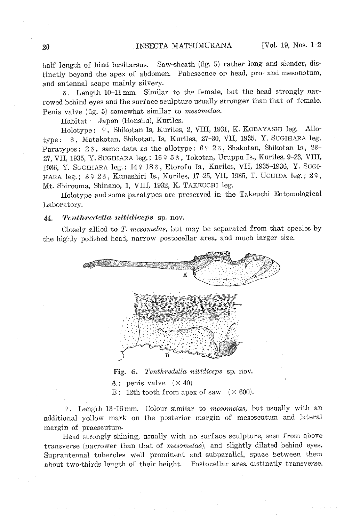half length of hind basitarsus. Saw-sheath (fig. 5) rather long and slender, distinctly beyond the apex of abdomen. Pubescence on head, pro- and mesonotum, and antennal scape mainly silvery.

 $\delta$ . Length 10-11 mm. Similar to the female, but the head strongly narrowed behind eyes and the surface sculpture usually stronger than that of female. Penis valve (fig. 5) somewhat similar to *mesomelas.* 

Habitat: Japan (Honshu), Kuriles.

Holotype: 9, Shikotan Is, Kuriles, 2, VIII, 1931, K. KOBAYASHI leg. Allotype: 0, Matakotan, Shikotan, Is, Kuriles, 27-30, VII, 1935, Y. SUGIHARA leg. Paratypes:  $2\delta$ , same data as the allotype;  $6\frac{\circ}{2}\delta$ , Shakotan, Shikotan Is., 23-27, VII, 1935, Y. SUGIHARA leg.;  $1685$ , Tokotan, Uruppu Is., Kuriles, 9-23, VIII, 1936, Y. SUGIHARA leg.; 14º 18<sup>3</sup>, Etorofu Is., Kuriles, VII, 1935-1936, Y. SUGI-HARA leg.; 39 26, Kunashiri Is., Kuriles, 17-25, VII, 1935, T. UCHIDA leg.; 29, Mt. Shirouma, Shinano, 1, VIII, 1932, K. TAKEUCHI leg.

Holotype and some paratypes are preserved in the Takeuchi Entomological Laboratory.

#### 44. Tenthredella nitidiceps sp. nov.

Closely allied to *T. mesomelas,* but may be separated from that species by the highly polisbed head, narrow postocellar area, and much larger size.



Fig. 6. *Tenthredella nitidiceps* sp. nov.

A: penis valve  $(\times 40)$ 

B: 12th tooth from apex of saw  $(\times 600)$ .

9. Length 13-16 mm. Colour similar to *mesomelas*, but usually with an additional yellow mark on the posterior margin of mesoscutum and lateral margin of praescutum.

Head strongly shining, usually with no surface sculpture, seen from above transverse (narrower than that of *mesomelas),* and slightly dilated behind eyes. Suprantennal tubercles well prominent and subparallel, space between them about two-thirds length of their height. Postocellar area distinctly transverse,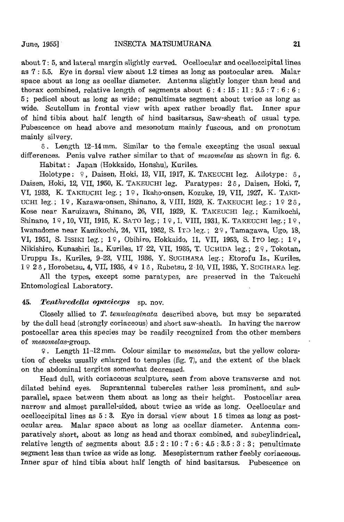about 7: 5, and lateral margin slightly curved. Ocellocular and ocelloccipital lines as 7 : 5.5. Eye in dorsal view about 1.2 times as long as postocular area. Malar space about as long as ocellar diameter. Antenna slightly longer than head and thorax combined, relative length of segments about  $6:4:15:11:9.5:7:6:6$ : 5; pedicel about as long as wide; penultimate segment about twice as long as wide. Scutellum in frontal view with apex rather broadly flat. Inner spur of hind tibia about half length of hind basitarsus, Saw-sheath of usual type. Pubescence on head above and mesonotum mainly fuscous, and on pronotum mainly silvery.

 $\delta$ . Length 12-14 mm. Similar to the female excepting the usual sexual differences. Penis valve rather similar to that of *mesomelas* as shown in fig. 6.

Habitat: Japan (Hokkaido, Honshu), Kuriles.

Holotype: 9, Daisen, Hoki, 13, VII, 1917, K. TAKEUCHI leg. Allotype: 8, Daisen, Hoki, 12, VII, 1950, K. TAKEUCHI leg. Paratypes: 2 6, Daisen, Hoki, 7, VI, 1933, K. TAKEUCHI leg.; 19, Ikaho-onsen, Kozuke, 19, VII, 1927, K. TAKE-UCHI leg.;  $1\frac{9}{7}$ , Kazawa-onsen, Shinano, 3, VIII, 1929, K. TAKEUCHI leg.;  $1\frac{9}{7}$  2 $\delta$ , Kose near Karuizawa, Shinano, 26, VII, 1929, K. TAKEUCHI leg.; Kamikochi, Shinano,  $19$ ,  $10$ , VII, 1915, K. SATO leg.;  $19$ , 1, VIII, 1931, K. TAKEUCHI leg.;  $19$ , Iwanadome near Kamikochi, 24, VII, 1952, S. ITO leg.; 29, Tamagawa, Ugo, 18, VI, 1951, S. ISSIKI leg.; 19, Obihiro, Hokkaido, 11, VII, 1953, S. ITO leg.; 19, Nikishiro, Kunashiri Is., Kuriles, 17 22, VII, 1935, T. UCHIDA leg.; 29, Tokotan, Uruppu Is., Kuriles, 9-23, VIII, 1936, Y. SUGIHARA leg.; Etorofu Is., Kuriles, 1923, Horobetsu, 4, VII, 1935, 4913, Rubetsu, 2-10, VII, 1935, Y. SUGIHARA leg.

All the types, except some paratypes, are preserved in the Takeuchi Entomological Laboratory.

## 45. Tenthredella opaciceps sp. nov.

Closely allied to *T. tenuivaginata* described above, but may be separated by the dull head (strongly coriaceous) and short saw-sheath. In having the narrow postocellar area this species may be readily recognized from the other members of *mesomelas-group.* 

>;2. Length 11-12mm. Colour similar to *mesomelas.* but the yellow coloration of cheeks usually enlarged to temples (fig. 7), and the extent of the black on the abdominal tergites somewhat decreased.

Head dull, with coriaceous sculpture, seen from above transverse and not dilated behind eyes. Suprantennal tubercles rather less prominent, and subparallel, space between them about as long as their height. Postocellar area narrow and almost parallel-sided, about twice as wide as long. Ocellocular and ocelloccipital lines as 5 : 3. Eye in dorsal view about 15 times as long as postocular area. Malar space about as long as ocellar diameter. Antenna comparatively short, about as long as head and thorax combined, and subcylindrical, relative length of segments about  $3.5: 2: 10: 7: 6: 4.5: 3.5: 3: 3$ ; penultimate segment less than twice as wide as long. Mesepisternum rather feebly coriaceous. Inner spur of hind tibia about half length of hind basitarsus. Pubescence on